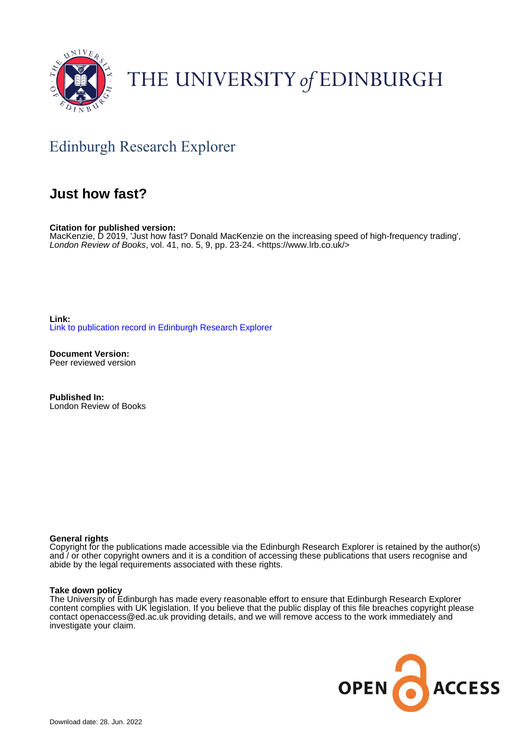

# THE UNIVERSITY of EDINBURGH

## Edinburgh Research Explorer

### **Just how fast?**

**Citation for published version:** MacKenzie, D 2019, 'Just how fast? Donald MacKenzie on the increasing speed of high-frequency trading', London Review of Books, vol. 41, no. 5, 9, pp. 23-24. <[https://www.lrb.co.uk/>](https://www.lrb.co.uk/)

**Link:** [Link to publication record in Edinburgh Research Explorer](https://www.research.ed.ac.uk/en/publications/e358d23d-40c3-4e46-b00e-4d528b0a60f4)

**Document Version:** Peer reviewed version

**Published In:** London Review of Books

### **General rights**

Copyright for the publications made accessible via the Edinburgh Research Explorer is retained by the author(s) and / or other copyright owners and it is a condition of accessing these publications that users recognise and abide by the legal requirements associated with these rights.

### **Take down policy**

The University of Edinburgh has made every reasonable effort to ensure that Edinburgh Research Explorer content complies with UK legislation. If you believe that the public display of this file breaches copyright please contact openaccess@ed.ac.uk providing details, and we will remove access to the work immediately and investigate your claim.

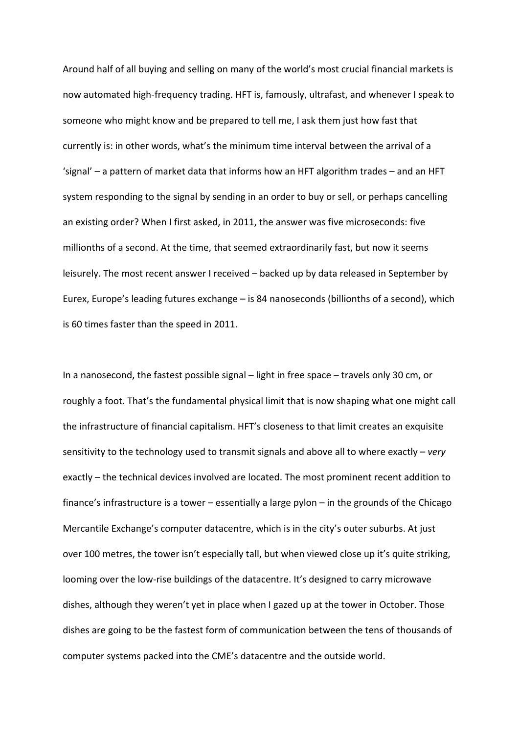Around half of all buying and selling on many of the world's most crucial financial markets is now automated high-frequency trading. HFT is, famously, ultrafast, and whenever I speak to someone who might know and be prepared to tell me, I ask them just how fast that currently is: in other words, what's the minimum time interval between the arrival of a 'signal' – a pattern of market data that informs how an HFT algorithm trades – and an HFT system responding to the signal by sending in an order to buy or sell, or perhaps cancelling an existing order? When I first asked, in 2011, the answer was five microseconds: five millionths of a second. At the time, that seemed extraordinarily fast, but now it seems leisurely. The most recent answer I received – backed up by data released in September by Eurex, Europe's leading futures exchange – is 84 nanoseconds (billionths of a second), which is 60 times faster than the speed in 2011.

In a nanosecond, the fastest possible signal – light in free space – travels only 30 cm, or roughly a foot. That's the fundamental physical limit that is now shaping what one might call the infrastructure of financial capitalism. HFT's closeness to that limit creates an exquisite sensitivity to the technology used to transmit signals and above all to where exactly – *very*  exactly – the technical devices involved are located. The most prominent recent addition to finance's infrastructure is a tower – essentially a large pylon – in the grounds of the Chicago Mercantile Exchange's computer datacentre, which is in the city's outer suburbs. At just over 100 metres, the tower isn't especially tall, but when viewed close up it's quite striking, looming over the low-rise buildings of the datacentre. It's designed to carry microwave dishes, although they weren't yet in place when I gazed up at the tower in October. Those dishes are going to be the fastest form of communication between the tens of thousands of computer systems packed into the CME's datacentre and the outside world.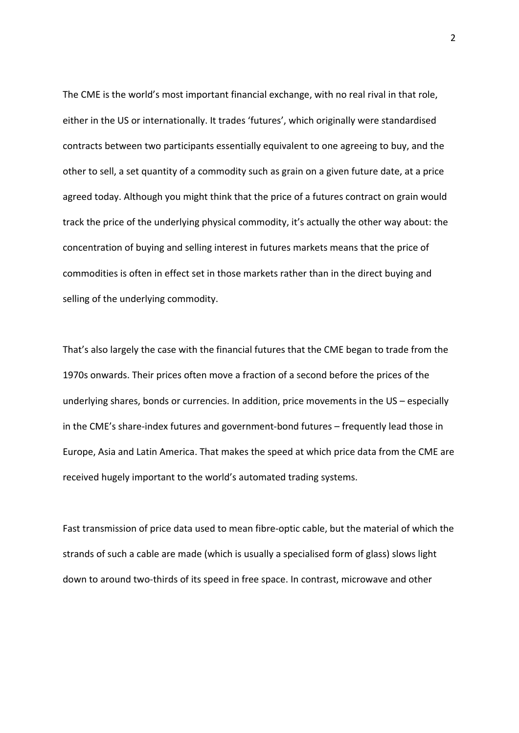The CME is the world's most important financial exchange, with no real rival in that role, either in the US or internationally. It trades 'futures', which originally were standardised contracts between two participants essentially equivalent to one agreeing to buy, and the other to sell, a set quantity of a commodity such as grain on a given future date, at a price agreed today. Although you might think that the price of a futures contract on grain would track the price of the underlying physical commodity, it's actually the other way about: the concentration of buying and selling interest in futures markets means that the price of commodities is often in effect set in those markets rather than in the direct buying and selling of the underlying commodity.

That's also largely the case with the financial futures that the CME began to trade from the 1970s onwards. Their prices often move a fraction of a second before the prices of the underlying shares, bonds or currencies. In addition, price movements in the US – especially in the CME's share-index futures and government-bond futures – frequently lead those in Europe, Asia and Latin America. That makes the speed at which price data from the CME are received hugely important to the world's automated trading systems.

Fast transmission of price data used to mean fibre-optic cable, but the material of which the strands of such a cable are made (which is usually a specialised form of glass) slows light down to around two-thirds of its speed in free space. In contrast, microwave and other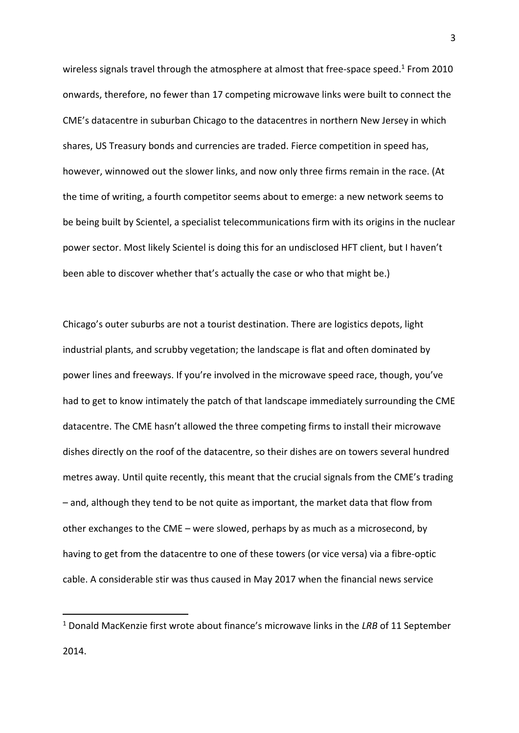wireless signals travel through the atmosphere at almost that free-space speed.<sup>1</sup> From 2010 onwards, therefore, no fewer than 17 competing microwave links were built to connect the CME's datacentre in suburban Chicago to the datacentres in northern New Jersey in which shares, US Treasury bonds and currencies are traded. Fierce competition in speed has, however, winnowed out the slower links, and now only three firms remain in the race. (At the time of writing, a fourth competitor seems about to emerge: a new network seems to be being built by Scientel, a specialist telecommunications firm with its origins in the nuclear power sector. Most likely Scientel is doing this for an undisclosed HFT client, but I haven't been able to discover whether that's actually the case or who that might be.)

Chicago's outer suburbs are not a tourist destination. There are logistics depots, light industrial plants, and scrubby vegetation; the landscape is flat and often dominated by power lines and freeways. If you're involved in the microwave speed race, though, you've had to get to know intimately the patch of that landscape immediately surrounding the CME datacentre. The CME hasn't allowed the three competing firms to install their microwave dishes directly on the roof of the datacentre, so their dishes are on towers several hundred metres away. Until quite recently, this meant that the crucial signals from the CME's trading – and, although they tend to be not quite as important, the market data that flow from other exchanges to the CME – were slowed, perhaps by as much as a microsecond, by having to get from the datacentre to one of these towers (or vice versa) via a fibre-optic cable. A considerable stir was thus caused in May 2017 when the financial news service

.

<sup>1</sup> Donald MacKenzie first wrote about finance's microwave links in the *LRB* of 11 September 2014.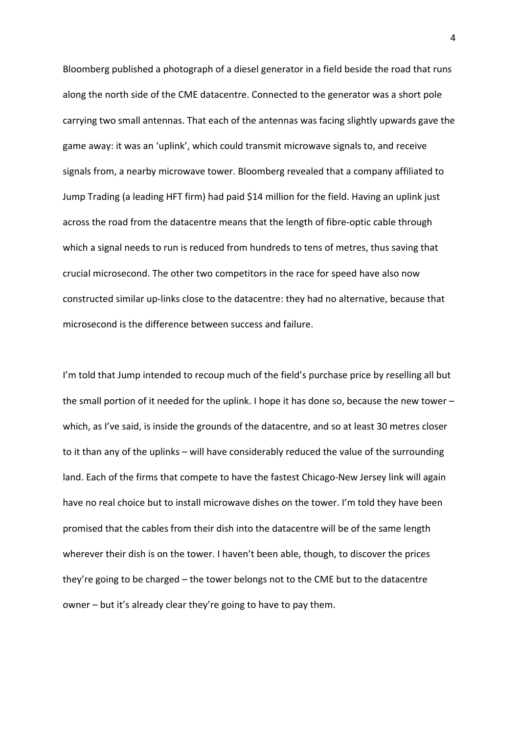Bloomberg published a photograph of a diesel generator in a field beside the road that runs along the north side of the CME datacentre. Connected to the generator was a short pole carrying two small antennas. That each of the antennas was facing slightly upwards gave the game away: it was an 'uplink', which could transmit microwave signals to, and receive signals from, a nearby microwave tower. Bloomberg revealed that a company affiliated to Jump Trading (a leading HFT firm) had paid \$14 million for the field. Having an uplink just across the road from the datacentre means that the length of fibre-optic cable through which a signal needs to run is reduced from hundreds to tens of metres, thus saving that crucial microsecond. The other two competitors in the race for speed have also now constructed similar up-links close to the datacentre: they had no alternative, because that microsecond is the difference between success and failure.

I'm told that Jump intended to recoup much of the field's purchase price by reselling all but the small portion of it needed for the uplink. I hope it has done so, because the new tower – which, as I've said, is inside the grounds of the datacentre, and so at least 30 metres closer to it than any of the uplinks – will have considerably reduced the value of the surrounding land. Each of the firms that compete to have the fastest Chicago-New Jersey link will again have no real choice but to install microwave dishes on the tower. I'm told they have been promised that the cables from their dish into the datacentre will be of the same length wherever their dish is on the tower. I haven't been able, though, to discover the prices they're going to be charged – the tower belongs not to the CME but to the datacentre owner – but it's already clear they're going to have to pay them.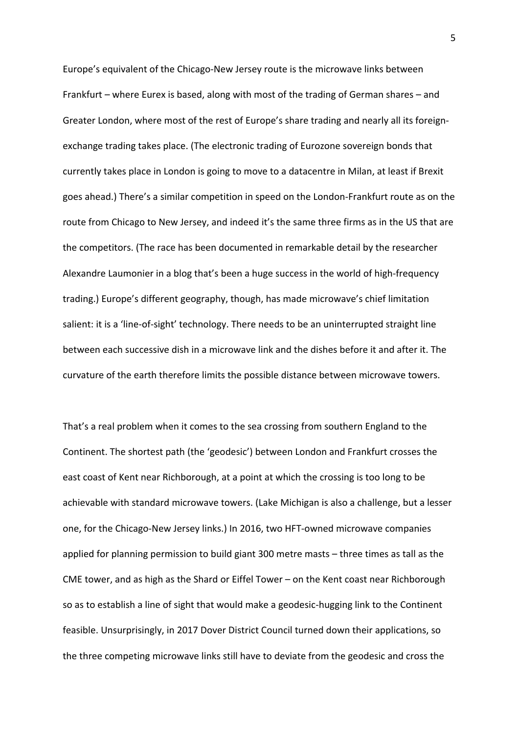Europe's equivalent of the Chicago-New Jersey route is the microwave links between Frankfurt – where Eurex is based, along with most of the trading of German shares – and Greater London, where most of the rest of Europe's share trading and nearly all its foreignexchange trading takes place. (The electronic trading of Eurozone sovereign bonds that currently takes place in London is going to move to a datacentre in Milan, at least if Brexit goes ahead.) There's a similar competition in speed on the London-Frankfurt route as on the route from Chicago to New Jersey, and indeed it's the same three firms as in the US that are the competitors. (The race has been documented in remarkable detail by the researcher Alexandre Laumonier in a blog that's been a huge success in the world of high-frequency trading.) Europe's different geography, though, has made microwave's chief limitation salient: it is a 'line-of-sight' technology. There needs to be an uninterrupted straight line between each successive dish in a microwave link and the dishes before it and after it. The curvature of the earth therefore limits the possible distance between microwave towers.

That's a real problem when it comes to the sea crossing from southern England to the Continent. The shortest path (the 'geodesic') between London and Frankfurt crosses the east coast of Kent near Richborough, at a point at which the crossing is too long to be achievable with standard microwave towers. (Lake Michigan is also a challenge, but a lesser one, for the Chicago-New Jersey links.) In 2016, two HFT-owned microwave companies applied for planning permission to build giant 300 metre masts – three times as tall as the CME tower, and as high as the Shard or Eiffel Tower – on the Kent coast near Richborough so as to establish a line of sight that would make a geodesic-hugging link to the Continent feasible. Unsurprisingly, in 2017 Dover District Council turned down their applications, so the three competing microwave links still have to deviate from the geodesic and cross the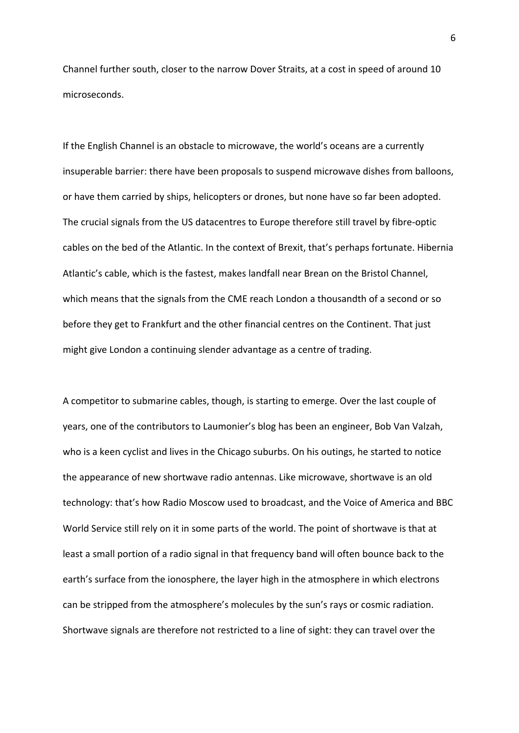Channel further south, closer to the narrow Dover Straits, at a cost in speed of around 10 microseconds.

If the English Channel is an obstacle to microwave, the world's oceans are a currently insuperable barrier: there have been proposals to suspend microwave dishes from balloons, or have them carried by ships, helicopters or drones, but none have so far been adopted. The crucial signals from the US datacentres to Europe therefore still travel by fibre-optic cables on the bed of the Atlantic. In the context of Brexit, that's perhaps fortunate. Hibernia Atlantic's cable, which is the fastest, makes landfall near Brean on the Bristol Channel, which means that the signals from the CME reach London a thousandth of a second or so before they get to Frankfurt and the other financial centres on the Continent. That just might give London a continuing slender advantage as a centre of trading.

A competitor to submarine cables, though, is starting to emerge. Over the last couple of years, one of the contributors to Laumonier's blog has been an engineer, Bob Van Valzah, who is a keen cyclist and lives in the Chicago suburbs. On his outings, he started to notice the appearance of new shortwave radio antennas. Like microwave, shortwave is an old technology: that's how Radio Moscow used to broadcast, and the Voice of America and BBC World Service still rely on it in some parts of the world. The point of shortwave is that at least a small portion of a radio signal in that frequency band will often bounce back to the earth's surface from the ionosphere, the layer high in the atmosphere in which electrons can be stripped from the atmosphere's molecules by the sun's rays or cosmic radiation. Shortwave signals are therefore not restricted to a line of sight: they can travel over the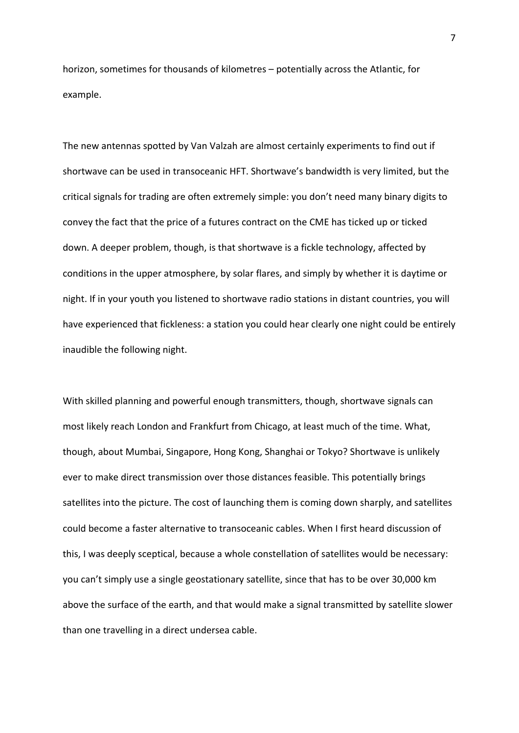horizon, sometimes for thousands of kilometres – potentially across the Atlantic, for example.

The new antennas spotted by Van Valzah are almost certainly experiments to find out if shortwave can be used in transoceanic HFT. Shortwave's bandwidth is very limited, but the critical signals for trading are often extremely simple: you don't need many binary digits to convey the fact that the price of a futures contract on the CME has ticked up or ticked down. A deeper problem, though, is that shortwave is a fickle technology, affected by conditions in the upper atmosphere, by solar flares, and simply by whether it is daytime or night. If in your youth you listened to shortwave radio stations in distant countries, you will have experienced that fickleness: a station you could hear clearly one night could be entirely inaudible the following night.

With skilled planning and powerful enough transmitters, though, shortwave signals can most likely reach London and Frankfurt from Chicago, at least much of the time. What, though, about Mumbai, Singapore, Hong Kong, Shanghai or Tokyo? Shortwave is unlikely ever to make direct transmission over those distances feasible. This potentially brings satellites into the picture. The cost of launching them is coming down sharply, and satellites could become a faster alternative to transoceanic cables. When I first heard discussion of this, I was deeply sceptical, because a whole constellation of satellites would be necessary: you can't simply use a single geostationary satellite, since that has to be over 30,000 km above the surface of the earth, and that would make a signal transmitted by satellite slower than one travelling in a direct undersea cable.

7